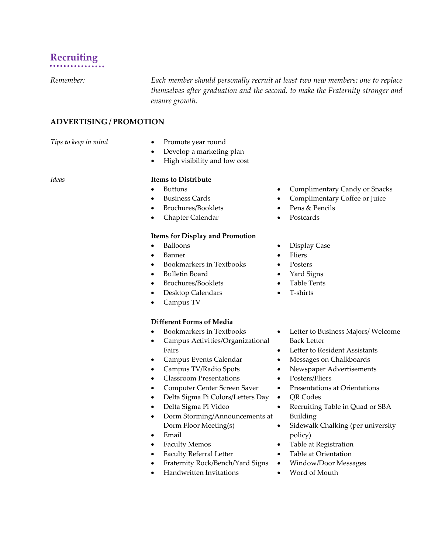# **Recruiting**

*Remember: Each member should personally recruit at least two new members: one to replace themselves after graduation and the second, to make the Fraternity stronger and ensure growth.*

# **ADVERTISING / PROMOTION**

- *Tips to keep in mind* **•** Promote year round
	- Develop a marketing plan
	- High visibility and low cost

#### *Ideas* **Items to Distribute**

- Buttons
- Business Cards
- Brochures/Booklets
- Chapter Calendar

### **Items for Display and Promotion**

- Balloons
- Banner
- Bookmarkers in Textbooks
- Bulletin Board
- Brochures/Booklets
- Desktop Calendars
- Campus TV

#### **Different Forms of Media**

- Bookmarkers in Textbooks
- Campus Activities/Organizational Fairs
- Campus Events Calendar
- Campus TV/Radio Spots
- Classroom Presentations
- Computer Center Screen Saver
- Delta Sigma Pi Colors/Letters Day
- Delta Sigma Pi Video
- Dorm Storming/Announcements at Dorm Floor Meeting(s)
- Email
- Faculty Memos
- Faculty Referral Letter
- Fraternity Rock/Bench/Yard Signs
- Handwritten Invitations
- Complimentary Candy or Snacks
- Complimentary Coffee or Juice
- Pens & Pencils
- Postcards
- Display Case
- Fliers
- Posters
- Yard Signs
- Table Tents
- T-shirts
- Letter to Business Majors/ Welcome Back Letter
- Letter to Resident Assistants
- Messages on Chalkboards
- Newspaper Advertisements
- Posters/Fliers
- Presentations at Orientations
- QR Codes
- Recruiting Table in Quad or SBA Building
- Sidewalk Chalking (per university policy)
- Table at Registration
- Table at Orientation
- Window/Door Messages
- Word of Mouth